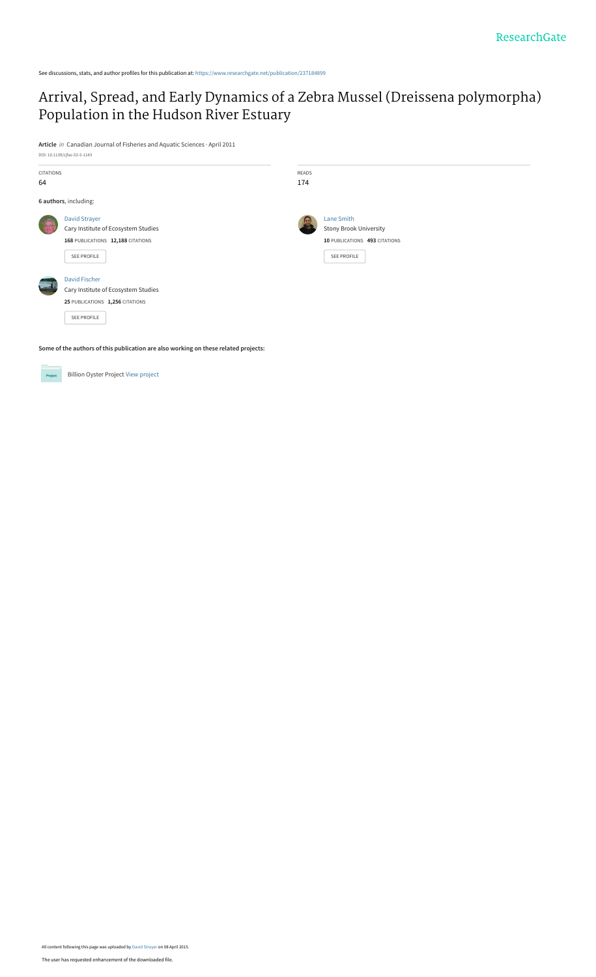## [Arrival, Spread, and Early Dynamics of a Zebra Mussel \(Dreissena polymorpha\)](https://www.researchgate.net/publication/237184899_Arrival_Spread_and_Early_Dynamics_of_a_Zebra_Mussel_Dreissena_polymorpha_Population_in_the_Hudson_River_Estuary?enrichId=rgreq-1f63e5f0e7a7d582d9a67157d0ed0fe8-XXX&enrichSource=Y292ZXJQYWdlOzIzNzE4NDg5OTtBUzoyMTU5NDc5NTM2MTA3NTVAMTQyODQ5NzQxMjY4Ng%3D%3D&el=1_x_3&_esc=publicationCoverPdf) Population in the Hudson River Estuary

**Article** in Canadian Journal of Fisheries and Aquatic Sciences · April 2011

See discussions, stats, and author profiles for this publication at: [https://www.researchgate.net/publication/237184899](https://www.researchgate.net/publication/237184899_Arrival_Spread_and_Early_Dynamics_of_a_Zebra_Mussel_Dreissena_polymorpha_Population_in_the_Hudson_River_Estuary?enrichId=rgreq-1f63e5f0e7a7d582d9a67157d0ed0fe8-XXX&enrichSource=Y292ZXJQYWdlOzIzNzE4NDg5OTtBUzoyMTU5NDc5NTM2MTA3NTVAMTQyODQ5NzQxMjY4Ng%3D%3D&el=1_x_2&_esc=publicationCoverPdf)

| DOI: 10.1139/cjfas-53-5-1143                                                        |                                                                                                                      |                     |                                                                                                           |  |
|-------------------------------------------------------------------------------------|----------------------------------------------------------------------------------------------------------------------|---------------------|-----------------------------------------------------------------------------------------------------------|--|
| CITATIONS<br>64                                                                     |                                                                                                                      | <b>READS</b><br>174 |                                                                                                           |  |
|                                                                                     | 6 authors, including:                                                                                                |                     |                                                                                                           |  |
|                                                                                     | <b>David Strayer</b><br>Cary Institute of Ecosystem Studies<br>168 PUBLICATIONS 12,188 CITATIONS<br>SEE PROFILE      |                     | <b>Lane Smith</b><br><b>Stony Brook University</b><br>10 PUBLICATIONS 493 CITATIONS<br><b>SEE PROFILE</b> |  |
|                                                                                     | <b>David Fischer</b><br>Cary Institute of Ecosystem Studies<br>25 PUBLICATIONS 1,256 CITATIONS<br><b>SEE PROFILE</b> |                     |                                                                                                           |  |
| Some of the authors of this publication are also working on these related projects: |                                                                                                                      |                     |                                                                                                           |  |

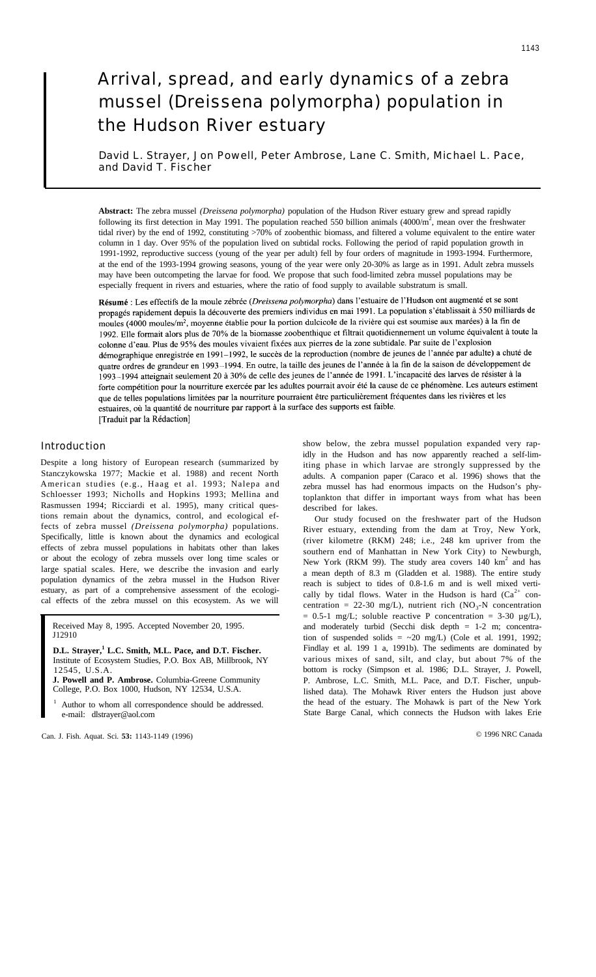# Arrival, spread, and early dynamics of a zebra mussel (Dreissena polymorpha) population in the Hudson River estuary

David L. Strayer, Jon Powell, Peter Ambrose, Lane C. Smith, Michael L. Pace, and David T. Fischer

**Abstract:** The zebra mussel *(Dreissena polymorpha)* population of the Hudson River estuary grew and spread rapidly following its first detection in May 1991. The population reached 550 billion animals  $(4000/m^2)$ , mean over the freshwater tidal river) by the end of 1992, constituting >70% of zoobenthic biomass, and filtered a volume equivalent to the entire water column in 1 day. Over 95% of the population lived on subtidal rocks. Following the period of rapid population growth in 1991-1992, reproductive success (young of the year per adult) fell by four orders of magnitude in 1993-1994. Furthermore, at the end of the 1993-1994 growing seasons, young of the year were only 20-30% as large as in 1991. Adult zebra mussels may have been outcompeting the larvae for food. We propose that such food-limited zebra mussel populations may be especially frequent in rivers and estuaries, where the ratio of food supply to available substratum is small.

Résumé : Les effectifs de la moule zébrée (Dreissena polymorpha) dans l'estuaire de l'Hudson ont augmenté et se sont propagés rapidement depuis la découverte des premiers individus en mai 1991. La population s'établissait à 550 milliards de moules (4000 moules/m<sup>2</sup>, moyenne établie pour la portion dulcicole de la rivière qui est soumise aux marées) à la fin de 1992. Elle formait alors plus de 70% de la biomasse zoobenthique et filtrait quotidiennement un volume équivalent à toute la colonne d'eau. Plus de 95% des moules vivaient fixées aux pierres de la zone subtidale. Par suite de l'explosion démographique enregistrée en 1991-1992, le succès de la reproduction (nombre de jeunes de l'année par adulte) a chuté de quatre ordres de grandeur en 1993-1994. En outre, la taille des jeunes de l'année à la fin de la saison de développement de 1993-1994 atteignait seulement 20 à 30% de celle des jeunes de l'année de 1991. L'incapacité des larves de résister à la forte compétition pour la nourriture exercée par les adultes pourrait avoir été la cause de ce phénomène. Les auteurs estiment que de telles populations limitées par la nourriture pourraient être particulièrement fréquentes dans les rivières et les estuaires, où la quantité de nourriture par rapport à la surface des supports est faible. [Traduit par la Rédaction]

Introduction

Despite a long history of European research (summarized by Stanczykowska 1977; Mackie et al. 1988) and recent North American studies (e.g., Haag et al. 1993; Nalepa and Schloesser 1993; Nicholls and Hopkins 1993; Mellina and Rasmussen 1994; Ricciardi et al. 1995), many critical questions remain about the dynamics, control, and ecological effects of zebra mussel *(Dreissena polymorpha)* populations. Specifically, little is known about the dynamics and ecological effects of zebra mussel populations in habitats other than lakes or about the ecology of zebra mussels over long time scales or large spatial scales. Here, we describe the invasion and early population dynamics of the zebra mussel in the Hudson River estuary, as part of a comprehensive assessment of the ecological effects of the zebra mussel on this ecosystem. As we will

Received May 8, 1995. Accepted November 20, 1995. J12910

**D.L. Strayer,<sup>1</sup> L.C. Smith, M.L. Pace, and D.T. Fischer.** Institute of Ecosystem Studies, P.O. Box AB, Millbrook, NY 12545, U.S.A.

**J. Powell and P. Ambrose.** Columbia-Greene Community College, P.O. Box 1000, Hudson, NY 12534, U.S.A.

Author to whom all correspondence should be addressed. e-mail: dlstrayer@aol.com

Can. J. Fish. Aquat. Sci. **53:** 1143-1149 (1996)

show below, the zebra mussel population expanded very rapidly in the Hudson and has now apparently reached a self-limiting phase in which larvae are strongly suppressed by the adults. A companion paper (Caraco et al. 1996) shows that the zebra mussel has had enormous impacts on the Hudson's phytoplankton that differ in important ways from what has been described for lakes.

Our study focused on the freshwater part of the Hudson River estuary, extending from the dam at Troy, New York, (river kilometre (RKM) 248; i.e., 248 km upriver from the southern end of Manhattan in New York City) to Newburgh, New York (RKM 99). The study area covers  $140 \text{ km}^2$  and has a mean depth of 8.3 m (Gladden et al. 1988). The entire study reach is subject to tides of 0.8-1.6 m and is well mixed vertically by tidal flows. Water in the Hudson is hard  $(Ca^{2+}$  concentration = 22-30 mg/L), nutrient rich  $(NO<sub>3</sub>-N)$  concentration  $= 0.5$ -1 mg/L; soluble reactive P concentration  $= 3$ -30  $\mu$ g/L), and moderately turbid (Secchi disk depth = 1-2 m; concentration of suspended solids =  $\sim$ 20 mg/L) (Cole et al. 1991, 1992; Findlay et al. 199 1 a, 1991b). The sediments are dominated by various mixes of sand, silt, and clay, but about 7% of the bottom is rocky (Simpson et al. 1986; D.L. Strayer, J. Powell, P. Ambrose, L.C. Smith, M.L. Pace, and D.T. Fischer, unpublished data). The Mohawk River enters the Hudson just above the head of the estuary. The Mohawk is part of the New York State Barge Canal, which connects the Hudson with lakes Erie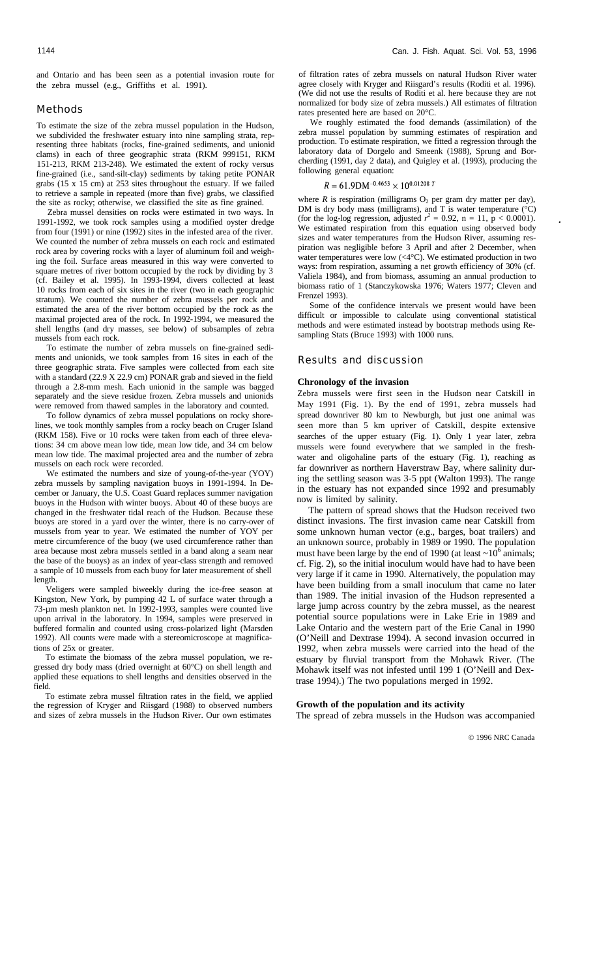and Ontario and has been seen as a potential invasion route for the zebra mussel (e.g., Griffiths et al. 1991).

## Methods

To estimate the size of the zebra mussel population in the Hudson, we subdivided the freshwater estuary into nine sampling strata, representing three habitats (rocks, fine-grained sediments, and unionid clams) in each of three geographic strata (RKM 999151, RKM 151-213, RKM 213-248). We estimated the extent of rocky versus fine-grained (i.e., sand-silt-clay) sediments by taking petite PONAR grabs (15 x 15 cm) at 253 sites throughout the estuary. If we failed to retrieve a sample in repeated (more than five) grabs, we classified the site as rocky; otherwise, we classified the site as fine grained.

Zebra mussel densities on rocks were estimated in two ways. In 1991-1992, we took rock samples using a modified oyster dredge from four (1991) or nine (1992) sites in the infested area of the river. We counted the number of zebra mussels on each rock and estimated rock area by covering rocks with a layer of aluminum foil and weighing the foil. Surface areas measured in this way were converted to square metres of river bottom occupied by the rock by dividing by 3 (cf. Bailey et al. 1995). In 1993-1994, divers collected at least 10 rocks from each of six sites in the river (two in each geographic stratum). We counted the number of zebra mussels per rock and estimated the area of the river bottom occupied by the rock as the maximal projected area of the rock. In 1992-1994, we measured the shell lengths (and dry masses, see below) of subsamples of zebra mussels from each rock.

To estimate the number of zebra mussels on fine-grained sediments and unionids, we took samples from 16 sites in each of the three geographic strata. Five samples were collected from each site with a standard (22.9 X 22.9 cm) PONAR grab and sieved in the field through a 2.8-mm mesh. Each unionid in the sample was bagged separately and the sieve residue frozen. Zebra mussels and unionids were removed from thawed samples in the laboratory and counted.

To follow dynamics of zebra mussel populations on rocky shorelines, we took monthly samples from a rocky beach on Cruger Island (RKM 158). Five or 10 rocks were taken from each of three elevations: 34 cm above mean low tide, mean low tide, and 34 cm below mean low tide. The maximal projected area and the number of zebra mussels on each rock were recorded.

We estimated the numbers and size of young-of-the-year (YOY) zebra mussels by sampling navigation buoys in 1991-1994. In December or January, the U.S. Coast Guard replaces summer navigation buoys in the Hudson with winter buoys. About 40 of these buoys are changed in the freshwater tidal reach of the Hudson. Because these buoys are stored in a yard over the winter, there is no carry-over of mussels from year to year. We estimated the number of YOY per metre circumference of the buoy (we used circumference rather than area because most zebra mussels settled in a band along a seam near the base of the buoys) as an index of year-class strength and removed a sample of 10 mussels from each buoy for later measurement of shell length.

Veligers were sampled biweekly during the ice-free season at Kingston, New York, by pumping 42 L of surface water through a 73-µm mesh plankton net. In 1992-1993, samples were counted live upon arrival in the laboratory. In 1994, samples were preserved in buffered formalin and counted using cross-polarized light (Marsden 1992). All counts were made with a stereomicroscope at magnifications of 25x or greater.

To estimate the biomass of the zebra mussel population, we regressed dry body mass (dried overnight at 60°C) on shell length and applied these equations to shell lengths and densities observed in the field.

To estimate zebra mussel filtration rates in the field, we applied the regression of Kryger and Riisgard (1988) to observed numbers and sizes of zebra mussels in the Hudson River. Our own estimates

of filtration rates of zebra mussels on natural Hudson River water agree closely with Kryger and Riisgard's results (Roditi et al. 1996). (We did not use the results of Roditi et al. here because they are not normalized for body size of zebra mussels.) All estimates of filtration rates presented here are based on 20°C.

We roughly estimated the food demands (assimilation) of the zebra mussel population by summing estimates of respiration and production. To estimate respiration, we fitted a regression through the laboratory data of Dorgelo and Smeenk (1988), Sprung and Borcherding (1991, day 2 data), and Quigley et al. (1993), producing the following general equation:

## $R = 61.9$ DM<sup>-0.4653</sup>  $\times$  10<sup>0.01208</sup> T

where  $R$  is respiration (milligrams  $O_2$  per gram dry matter per day), DM is dry body mass (milligrams), and T is water temperature  $(^{\circ}C)$ (for the log-log regression, adjusted  $r^2 = 0.92$ , n = 11, p < 0.0001). We estimated respiration from this equation using observed body sizes and water temperatures from the Hudson River, assuming respiration was negligible before 3 April and after 2 December, when water temperatures were low  $( $4^{\circ}$ C)$ . We estimated production in two ways: from respiration, assuming a net growth efficiency of 30% (cf. Valiela 1984), and from biomass, assuming an annual production to biomass ratio of 1 (Stanczykowska 1976; Waters 1977; Cleven and Frenzel 1993).

Some of the confidence intervals we present would have been difficult or impossible to calculate using conventional statistical methods and were estimated instead by bootstrap methods using Resampling Stats (Bruce 1993) with 1000 runs.

#### Results and discussion

#### **Chronology of the invasion**

Zebra mussels were first seen in the Hudson near Catskill in May 1991 (Fig. 1). By the end of 1991, zebra mussels had spread downriver 80 km to Newburgh, but just one animal was seen more than 5 km upriver of Catskill, despite extensive searches of the upper estuary (Fig. 1). Only 1 year later, zebra mussels were found everywhere that we sampled in the freshwater and oligohaline parts of the estuary (Fig. 1), reaching as far downriver as northern Haverstraw Bay, where salinity during the settling season was 3-5 ppt (Walton 1993). The range in the estuary has not expanded since 1992 and presumably now is limited by salinity.

The pattern of spread shows that the Hudson received two distinct invasions. The first invasion came near Catskill from some unknown human vector (e.g., barges, boat trailers) and an unknown source, probably in 1989 or 1990. The population must have been large by the end of 1990 (at least  $\sim 10^6$  animals; cf. Fig. 2), so the initial inoculum would have had to have been very large if it came in 1990. Alternatively, the population may have been building from a small inoculum that came no later than 1989. The initial invasion of the Hudson represented a large jump across country by the zebra mussel, as the nearest potential source populations were in Lake Erie in 1989 and Lake Ontario and the western part of the Erie Canal in 1990 (O'Neill and Dextrase 1994). A second invasion occurred in 1992, when zebra mussels were carried into the head of the estuary by fluvial transport from the Mohawk River. (The Mohawk itself was not infested until 199 1 (O'Neill and Dextrase 1994).) The two populations merged in 1992.

#### **Growth of the population and its activity**

The spread of zebra mussels in the Hudson was accompanied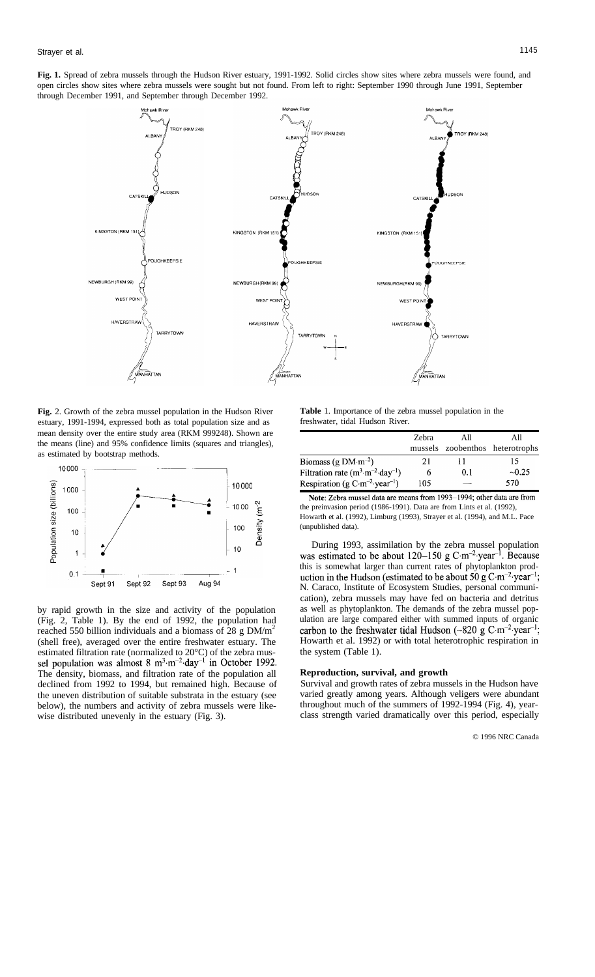**Fig. 1.** Spread of zebra mussels through the Hudson River estuary, 1991-1992. Solid circles show sites where zebra mussels were found, and open circles show sites where zebra mussels were sought but not found. From left to right: September 1990 through June 1991, September through December 1991, and September through December 1992.



**Fig.** 2. Growth of the zebra mussel population in the Hudson River estuary, 1991-1994, expressed both as total population size and as mean density over the entire study area (RKM 999248). Shown are the means (line) and 95% confidence limits (squares and triangles), as estimated by bootstrap methods.



by rapid growth in the size and activity of the population (Fig. 2, Table 1). By the end of 1992, the population had reached 550 billion individuals and a biomass of 28 g DM/m<sup>2</sup> (shell free), averaged over the entire freshwater estuary. The estimated filtration rate (normalized to 20°C) of the zebra mus-<br>sel population was almost 8  $\text{m}^3 \cdot \text{m}^{-2} \cdot \text{day}^{-1}$  in October 1992. The density, biomass, and filtration rate of the population all declined from 1992 to 1994, but remained high. Because of the uneven distribution of suitable substrata in the estuary (see below), the numbers and activity of zebra mussels were likewise distributed unevenly in the estuary (Fig. 3).

**Table** 1. Importance of the zebra mussel population in the freshwater, tidal Hudson River.

|                                                      | Zebra | All | All<br>mussels zoobenthos heterotrophs |
|------------------------------------------------------|-------|-----|----------------------------------------|
| Biomass (g $DM·m-2$ )                                | 21    |     | 15                                     |
| Filtration rate $(m^3 \cdot m^{-2} \cdot day^{-1})$  | o     | 0.1 | $-0.25$                                |
| Respiration (g $C \cdot m^{-2}$ year <sup>-1</sup> ) | 105   |     | 570                                    |
|                                                      |       |     |                                        |

Note: Zebra mussel data are means from 1993-1994; other data are from the preinvasion period (1986-1991). Data are from Lints et al. (1992), Howarth et al. (1992), Limburg (1993), Strayer et al. (1994), and M.L. Pace (unpublished data).

During 1993, assimilation by the zebra mussel population was estimated to be about  $120-150$  g C·m<sup>-2</sup>·year<sup>-1</sup>. Because this is somewhat larger than current rates of phytoplankton prod-<br>uction in the Hudson (estimated to be about 50 g C·m<sup>-2</sup>·year<sup>-1</sup>; N. Caraco, Institute of Ecosystem Studies, personal communication), zebra mussels may have fed on bacteria and detritus as well as phytoplankton. The demands of the zebra mussel population are large compared either with summed inputs of organic carbon to the freshwater tidal Hudson (~820 g C·m<sup>-2</sup>·year<sup>-1</sup>; Howarth et al. 1992) or with total heterotrophic respiration in the system (Table 1).

## **Reproduction, survival, and growth**

Survival and growth rates of zebra mussels in the Hudson have varied greatly among years. Although veligers were abundant throughout much of the summers of 1992-1994 (Fig. 4), yearclass strength varied dramatically over this period, especially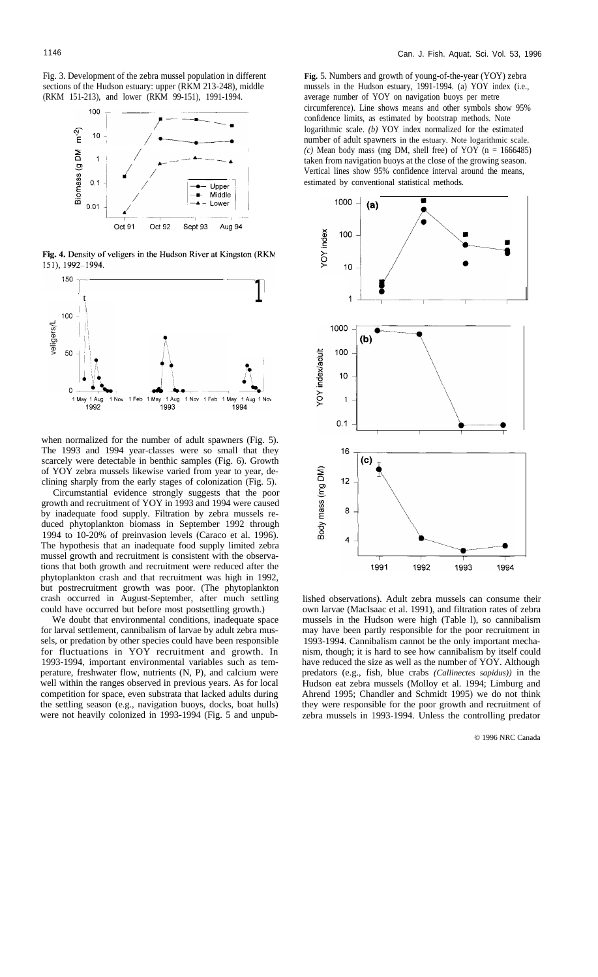Fig. 3. Development of the zebra mussel population in different sections of the Hudson estuary: upper (RKM 213-248), middle (RKM 151-213), and lower (RKM 99-151), 1991-1994.



Fig. 4. Density of veligers in the Hudson River at Kingston (RKM 151), 1992-1994.



when normalized for the number of adult spawners (Fig. 5). The 1993 and 1994 year-classes were so small that they scarcely were detectable in benthic samples (Fig. 6). Growth of YOY zebra mussels likewise varied from year to year, declining sharply from the early stages of colonization (Fig. 5).

Circumstantial evidence strongly suggests that the poor growth and recruitment of YOY in 1993 and 1994 were caused by inadequate food supply. Filtration by zebra mussels reduced phytoplankton biomass in September 1992 through 1994 to 10-20% of preinvasion levels (Caraco et al. 1996). The hypothesis that an inadequate food supply limited zebra mussel growth and recruitment is consistent with the observations that both growth and recruitment were reduced after the phytoplankton crash and that recruitment was high in 1992, but postrecruitment growth was poor. (The phytoplankton crash occurred in August-September, after much settling could have occurred but before most postsettling growth.)

We doubt that environmental conditions, inadequate space for larval settlement, cannibalism of larvae by adult zebra mussels, or predation by other species could have been responsible for fluctuations in YOY recruitment and growth. In 1993-1994, important environmental variables such as temperature, freshwater flow, nutrients (N, P), and calcium were well within the ranges observed in previous years. As for local competition for space, even substrata that lacked adults during the settling season (e.g., navigation buoys, docks, boat hulls) were not heavily colonized in 1993-1994 (Fig. 5 and unpub**Fig.** 5. Numbers and growth of young-of-the-year (YOY) zebra mussels in the Hudson estuary, 1991-1994. (a) YOY index (i.e., average number of YOY on navigation buoys per metre circumference). Line shows means and other symbols show 95% confidence limits, as estimated by bootstrap methods. Note logarithmic scale. *(b)* YOY index normalized for the estimated number of adult spawners in the estuary. Note logarithmic scale.  $(c)$  Mean body mass (mg DM, shell free) of YOY (n = 1666485) taken from navigation buoys at the close of the growing season. Vertical lines show 95% confidence interval around the means, estimated by conventional statistical methods.



lished observations). Adult zebra mussels can consume their own larvae (MacIsaac et al. 1991), and filtration rates of zebra mussels in the Hudson were high (Table l), so cannibalism may have been partly responsible for the poor recruitment in 1993-1994. Cannibalism cannot be the only important mechanism, though; it is hard to see how cannibalism by itself could have reduced the size as well as the number of YOY. Although predators (e.g., fish, blue crabs *(Callinectes sapidus))* in the Hudson eat zebra mussels (Molloy et al. 1994; Limburg and Ahrend 1995; Chandler and Schmidt 1995) we do not think they were responsible for the poor growth and recruitment of zebra mussels in 1993-1994. Unless the controlling predator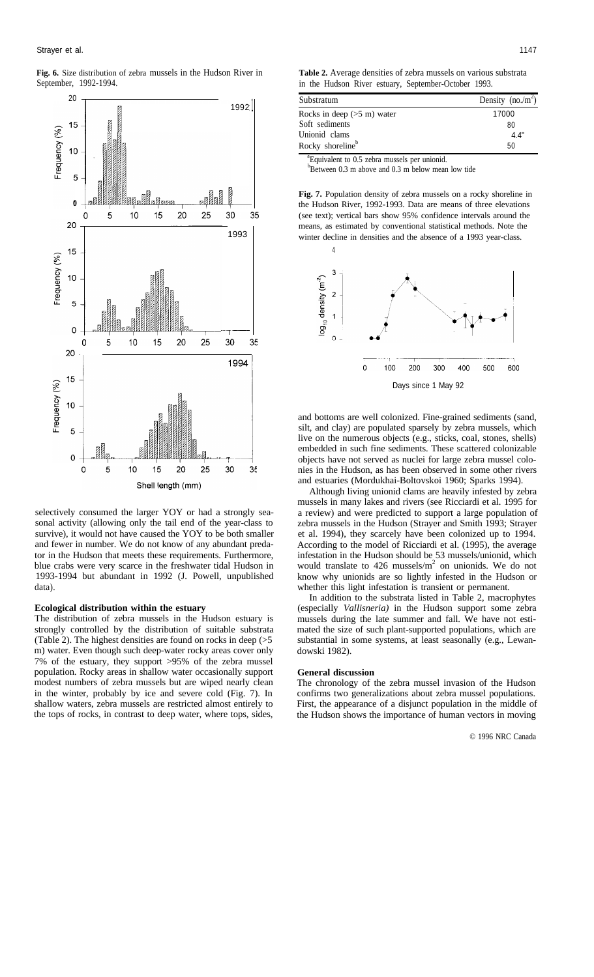**Fig. 6.** Size distribution of zebra mussels in the Hudson River in September, 1992-1994.



selectively consumed the larger YOY or had a strongly seasonal activity (allowing only the tail end of the year-class to survive), it would not have caused the YOY to be both smaller and fewer in number. We do not know of any abundant predator in the Hudson that meets these requirements. Furthermore, blue crabs were very scarce in the freshwater tidal Hudson in 1993-1994 but abundant in 1992 (J. Powell, unpublished data).

#### **Ecological distribution within the estuary**

The distribution of zebra mussels in the Hudson estuary is strongly controlled by the distribution of suitable substrata (Table 2). The highest densities are found on rocks in deep (>5 m) water. Even though such deep-water rocky areas cover only 7% of the estuary, they support >95% of the zebra mussel population. Rocky areas in shallow water occasionally support modest numbers of zebra mussels but are wiped nearly clean in the winter, probably by ice and severe cold (Fig. 7). In shallow waters, zebra mussels are restricted almost entirely to the tops of rocks, in contrast to deep water, where tops, sides,

**Table 2.** Average densities of zebra mussels on various substrata in the Hudson River estuary, September-October 1993.

| Substratum                           | Density $(no./m^2)$ |
|--------------------------------------|---------------------|
| Rocks in deep $(>5 \text{ m})$ water | 17000               |
| Soft sediments                       | 80                  |
| Unionid clams                        | 4.4"                |
| Rocky shoreline <sup>b</sup>         | 50                  |

<sup>a</sup> Equivalent to 0.5 zebra mussels per unionid.  $b$ Between 0.3 m above and 0.3 m below mean low tide

**Fig. 7.** Population density of zebra mussels on a rocky shoreline in the Hudson River, 1992-1993. Data are means of three elevations (see text); vertical bars show 95% confidence intervals around the means, as estimated by conventional statistical methods. Note the



and bottoms are well colonized. Fine-grained sediments (sand, silt, and clay) are populated sparsely by zebra mussels, which live on the numerous objects (e.g., sticks, coal, stones, shells) embedded in such fine sediments. These scattered colonizable objects have not served as nuclei for large zebra mussel colonies in the Hudson, as has been observed in some other rivers and estuaries (Mordukhai-Boltovskoi 1960; Sparks 1994).

Although living unionid clams are heavily infested by zebra mussels in many lakes and rivers (see Ricciardi et al. 1995 for a review) and were predicted to support a large population of zebra mussels in the Hudson (Strayer and Smith 1993; Strayer et al. 1994), they scarcely have been colonized up to 1994. According to the model of Ricciardi et al. (1995), the average infestation in the Hudson should be 53 mussels/unionid, which would translate to  $426$  mussels/m<sup>2</sup> on unionids. We do not know why unionids are so lightly infested in the Hudson or whether this light infestation is transient or permanent.

In addition to the substrata listed in Table 2, macrophytes (especially *Vallisneria)* in the Hudson support some zebra mussels during the late summer and fall. We have not estimated the size of such plant-supported populations, which are substantial in some systems, at least seasonally (e.g., Lewandowski 1982).

#### **General discussion**

The chronology of the zebra mussel invasion of the Hudson confirms two generalizations about zebra mussel populations. First, the appearance of a disjunct population in the middle of the Hudson shows the importance of human vectors in moving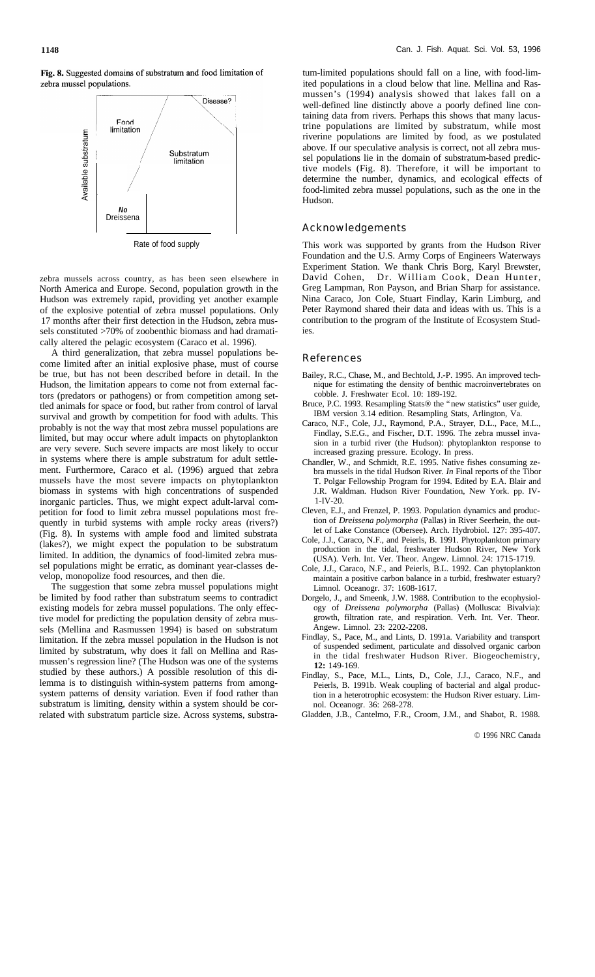Fig. 8. Suggested domains of substratum and food limitation of zebra mussel populations.



Rate of food supply

zebra mussels across country, as has been seen elsewhere in North America and Europe. Second, population growth in the Hudson was extremely rapid, providing yet another example of the explosive potential of zebra mussel populations. Only 17 months after their first detection in the Hudson, zebra mussels constituted >70% of zoobenthic biomass and had dramatically altered the pelagic ecosystem (Caraco et al. 1996).

A third generalization, that zebra mussel populations become limited after an initial explosive phase, must of course be true, but has not been described before in detail. In the Hudson, the limitation appears to come not from external factors (predators or pathogens) or from competition among settled animals for space or food, but rather from control of larval survival and growth by competition for food with adults. This probably is not the way that most zebra mussel populations are limited, but may occur where adult impacts on phytoplankton are very severe. Such severe impacts are most likely to occur in systems where there is ample substratum for adult settlement. Furthermore, Caraco et al. (1996) argued that zebra mussels have the most severe impacts on phytoplankton biomass in systems with high concentrations of suspended inorganic particles. Thus, we might expect adult-larval competition for food to limit zebra mussel populations most frequently in turbid systems with ample rocky areas (rivers?) (Fig. 8). In systems with ample food and limited substrata (lakes?), we might expect the population to be substratum limited. In addition, the dynamics of food-limited zebra mussel populations might be erratic, as dominant year-classes develop, monopolize food resources, and then die.

The suggestion that some zebra mussel populations might be limited by food rather than substratum seems to contradict existing models for zebra mussel populations. The only effective model for predicting the population density of zebra mussels (Mellina and Rasmussen 1994) is based on substratum limitation. If the zebra mussel population in the Hudson is not limited by substratum, why does it fall on Mellina and Rasmussen's regression line? (The Hudson was one of the systems studied by these authors.) A possible resolution of this dilemma is to distinguish within-system patterns from amongsystem patterns of density variation. Even if food rather than substratum is limiting, density within a system should be correlated with substratum particle size. Across systems, substratum-limited populations should fall on a line, with food-limited populations in a cloud below that line. Mellina and Rasmussen's (1994) analysis showed that lakes fall on a well-defined line distinctly above a poorly defined line containing data from rivers. Perhaps this shows that many lacustrine populations are limited by substratum, while most riverine populations are limited by food, as we postulated above. If our speculative analysis is correct, not all zebra mussel populations lie in the domain of substratum-based predictive models (Fig. 8). Therefore, it will be important to determine the number, dynamics, and ecological effects of food-limited zebra mussel populations, such as the one in the Hudson.

## Acknowledgements

This work was supported by grants from the Hudson River Foundation and the U.S. Army Corps of Engineers Waterways Experiment Station. We thank Chris Borg, Karyl Brewster, David Cohen, Dr. William Cook, Dean Hunter, Greg Lampman, Ron Payson, and Brian Sharp for assistance. Nina Caraco, Jon Cole, Stuart Findlay, Karin Limburg, and Peter Raymond shared their data and ideas with us. This is a contribution to the program of the Institute of Ecosystem Studies.

### References

- Bailey, R.C., Chase, M., and Bechtold, J.-P. 1995. An improved technique for estimating the density of benthic macroinvertebrates on cobble. J. Freshwater Ecol. 10: 189-192.
- Bruce, P.C. 1993. Resampling Stats® the "new statistics" user guide, IBM version 3.14 edition. Resampling Stats, Arlington, Va.
- Caraco, N.F., Cole, J.J., Raymond, P.A., Strayer, D.L., Pace, M.L., Findlay, S.E.G., and Fischer, D.T. 1996. The zebra mussel invasion in a turbid river (the Hudson): phytoplankton response to increased grazing pressure. Ecology. In press.
- Chandler, W., and Schmidt, R.E. 1995. Native fishes consuming zebra mussels in the tidal Hudson River. *In* Final reports of the Tibor T. Polgar Fellowship Program for 1994. Edited by E.A. Blair and J.R. Waldman. Hudson River Foundation, New York. pp. IV-1-IV-20.
- Cleven, E.J., and Frenzel, P. 1993. Population dynamics and production of *Dreissena polymorpha* (Pallas) in River Seerhein, the outlet of Lake Constance (Obersee). Arch. Hydrobiol. 127: 395-407.
- Cole, J.J., Caraco, N.F., and Peierls, B. 1991. Phytoplankton primary production in the tidal, freshwater Hudson River, New York (USA). Verh. Int. Ver. Theor. Angew. Limnol. 24: 1715-1719.
- Cole, J.J., Caraco, N.F., and Peierls, B.L. 1992. Can phytoplankton maintain a positive carbon balance in a turbid, freshwater estuary? Limnol. Oceanogr. 37: 1608-1617.
- Dorgelo, J., and Smeenk, J.W. 1988. Contribution to the ecophysiology of *Dreissena polymorpha* (Pallas) (Mollusca: Bivalvia): growth, filtration rate, and respiration. Verh. Int. Ver. Theor. Angew. Limnol. 23: 2202-2208.
- Findlay, S., Pace, M., and Lints, D. 1991a. Variability and transport of suspended sediment, particulate and dissolved organic carbon in the tidal freshwater Hudson River. Biogeochemistry, **12:** 149-169.
- Findlay, S., Pace, M.L., Lints, D., Cole, J.J., Caraco, N.F., and Peierls, B. 1991b. Weak coupling of bacterial and algal production in a heterotrophic ecosystem: the Hudson River estuary. Limnol. Oceanogr. 36: 268-278.
- Gladden, J.B., Cantelmo, F.R., Croom, J.M., and Shabot, R. 1988.